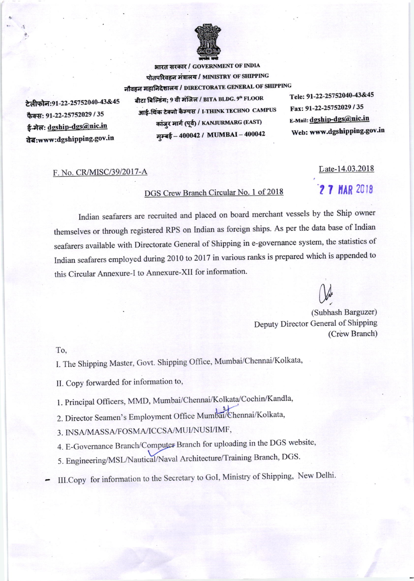

भारत सरकार / GOVERNMENT OF INDIA पोतपरिवहन मंत्रालय / MINISTRY OF SHIPPING नौवहन महानिदेशालय / DIRECTORATE GENERAL OF SHIPPING

टेलीफोन:91-22-25752040-43&45 फैक्स: 91-22-25752029 / 35 ई-मेल: dgship-dgs@nic.in da:www:dgshipping.gov.in

बीटा बिल्डिंग; 9 वी मंजिल / BITA BLDG. 9th FLOOR आई-थिंक टेक्नो कैम्पस / I-THINK TECHNO CAMPUS कांजुर मार्ग (पूर्व) / KANJURMARG (EAST) मुम्बई - 400042 / MUMBAI - 400042

Tele: 91-22-25752040-43&45 Fax: 91-22-25752029 / 35 E-Mail: dgship-dgs@nic.in Web: www.dgshipping.gov.in

## F. No. CR/MISC/39/2017-A

## DGS Crew Branch Circular No. 1 of 2018

## Indian seafarers are recruited and placed on board merchant vessels by the Ship owner themselves or through registered RPS on Indian as foreign ships. As per the data base of Indian seafarers available with Directorate General of Shipping in e-governance system, the statistics of Indian seafarers employed during 2010 to 2017 in various ranks is prepared which is appended to this Circular Annexure-I to Annexure-XII for information.

(Subhash Barguzer) Deputy Director General of Shipping (Crew Branch)

To,

I. The Shipping Master, Govt. Shipping Office, Mumbai/Chennai/Kolkata,

II. Copy forwarded for information to,

- 1. Principal Officers, MMD, Mumbai/Chennai/Kolkata/Cochin/Kandla,
- 2. Director Seamen's Employment Office Mumbai/Chennai/Kolkata,

3. INSA/MASSA/FOSMA/ICCSA/MUI/NUSI/IMF,

4. E-Governance Branch/Computer Branch for uploading in the DGS website,

- 5. Engineering/MSL/Nautical/Naval Architecture/Training Branch, DGS.
- III.Copy for information to the Secretary to GoI, Ministry of Shipping, New Delhi.

Late-14.03.2018

2 7 MAR 2018